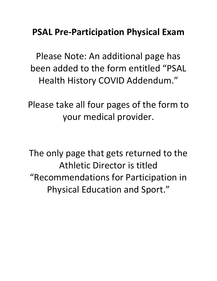# **PSAL Pre-Participation Physical Exam**

Please Note: An additional page has been added to the form entitled "PSAL Health History COVID Addendum."

Please take all four pages of the form to your medical provider.

The only page that gets returned to the Athletic Director is titled "Recommendations for Participation in Physical Education and Sport."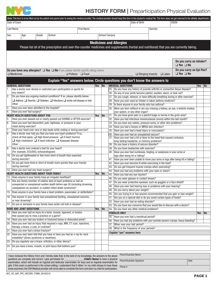

## **HISTORY FORM | Preparticipation Physical Evaluation**

| (Note: This form is to be filled out by the patient and parent prior to seeing the medical provider. The medical provider should keep this form in the student's medical file. This form does not get returned to the athletic<br>Date of Exam |                                                                                                                                                                                                                                               |                                                                        |       |                                                                                                                                                                              |                                   |     |                          |     |                                                                       | Date of Birth                                                                                                  |                                                                                 | OSIS#                                                                               |     |    |
|------------------------------------------------------------------------------------------------------------------------------------------------------------------------------------------------------------------------------------------------|-----------------------------------------------------------------------------------------------------------------------------------------------------------------------------------------------------------------------------------------------|------------------------------------------------------------------------|-------|------------------------------------------------------------------------------------------------------------------------------------------------------------------------------|-----------------------------------|-----|--------------------------|-----|-----------------------------------------------------------------------|----------------------------------------------------------------------------------------------------------------|---------------------------------------------------------------------------------|-------------------------------------------------------------------------------------|-----|----|
| Last Name<br><b>First Name</b>                                                                                                                                                                                                                 |                                                                                                                                                                                                                                               |                                                                        |       |                                                                                                                                                                              |                                   |     |                          |     | Sport(s)                                                              |                                                                                                                |                                                                                 |                                                                                     |     |    |
| Sex                                                                                                                                                                                                                                            | Age                                                                                                                                                                                                                                           |                                                                        | Grade | School                                                                                                                                                                       |                                   |     | <b>School Campus</b>     |     |                                                                       |                                                                                                                |                                                                                 |                                                                                     |     |    |
|                                                                                                                                                                                                                                                |                                                                                                                                                                                                                                               |                                                                        |       |                                                                                                                                                                              |                                   |     |                          |     |                                                                       |                                                                                                                |                                                                                 |                                                                                     |     |    |
|                                                                                                                                                                                                                                                |                                                                                                                                                                                                                                               |                                                                        |       | Please list all of the prescription and over-the-counter medicines and supplements (herbal and nutritional) that you are currently taking.                                   |                                   |     |                          |     | <b>Medicines and Allergies</b>                                        |                                                                                                                |                                                                                 |                                                                                     |     |    |
|                                                                                                                                                                                                                                                |                                                                                                                                                                                                                                               |                                                                        |       |                                                                                                                                                                              |                                   |     |                          |     |                                                                       |                                                                                                                |                                                                                 |                                                                                     |     |    |
|                                                                                                                                                                                                                                                |                                                                                                                                                                                                                                               |                                                                        |       |                                                                                                                                                                              |                                   |     |                          |     |                                                                       |                                                                                                                |                                                                                 |                                                                                     |     |    |
|                                                                                                                                                                                                                                                |                                                                                                                                                                                                                                               |                                                                        |       |                                                                                                                                                                              |                                   |     |                          |     |                                                                       |                                                                                                                |                                                                                 | Do you carry an inhaler?<br>$\Box$ Yes $\Box$ No                                    |     |    |
|                                                                                                                                                                                                                                                | Do you carry an Epi Pen?<br>Do you have any allergies? $\Box$ Yes $\Box$ No If yes, please identify specific allergy below:<br>$\Box$ Yes $\Box$ No<br>$\Box$ Medicines<br>$\Box$ Pollens $\Box$ Food<br>$\Box$ Stinging Insects $\Box$ Latex |                                                                        |       |                                                                                                                                                                              |                                   |     |                          |     |                                                                       |                                                                                                                |                                                                                 |                                                                                     |     |    |
|                                                                                                                                                                                                                                                |                                                                                                                                                                                                                                               |                                                                        |       | Explain "Yes" answers below. Circle questions you don't know the answers to                                                                                                  |                                   |     |                          |     |                                                                       |                                                                                                                |                                                                                 |                                                                                     |     |    |
|                                                                                                                                                                                                                                                | <b>GENERAL QUESTIONS</b>                                                                                                                                                                                                                      |                                                                        |       |                                                                                                                                                                              |                                   | Yes | $\overline{\mathsf{No}}$ |     | <b>MEDICAL QUESTIONS</b>                                              |                                                                                                                |                                                                                 |                                                                                     | Yes | No |
| 1.                                                                                                                                                                                                                                             |                                                                                                                                                                                                                                               |                                                                        |       | Has a doctor ever denied or restricted your participation in sports for                                                                                                      |                                   |     |                          |     |                                                                       |                                                                                                                | 25. Do you have any history of juvenile arthritis or connective tissue disease? |                                                                                     |     |    |
|                                                                                                                                                                                                                                                | any reason?                                                                                                                                                                                                                                   |                                                                        |       |                                                                                                                                                                              |                                   |     |                          |     | 26. Do any of your joints become painful, swollen, warm, or look red? |                                                                                                                |                                                                                 |                                                                                     |     |    |
| 2.                                                                                                                                                                                                                                             |                                                                                                                                                                                                                                               |                                                                        |       | Do you have any ongoing medical conditions? If so, please identify below:                                                                                                    |                                   |     |                          |     |                                                                       |                                                                                                                | 28. Have you ever used an inhaler or taken asthma medicine?                     | 27. Do you cough, wheeze, or have difficulty breathing during or after exercise?    |     |    |
|                                                                                                                                                                                                                                                | $\Box$ Asthma $\Box$ Anemia $\Box$ Diabetes $\Box$ Infections $\Box$ sickle cell disease or trait<br>Other:                                                                                                                                   |                                                                        |       |                                                                                                                                                                              |                                   |     |                          |     |                                                                       | 29. Is there anyone in your family who has asthma?                                                             |                                                                                 |                                                                                     |     |    |
| $\overline{3}$ .                                                                                                                                                                                                                               | Have you ever been admitted to the hospital?                                                                                                                                                                                                  |                                                                        |       |                                                                                                                                                                              |                                   |     |                          | 30. |                                                                       |                                                                                                                |                                                                                 | Were you born without or are you missing a kidney, an eye, a testicle (males),      |     |    |
| $\overline{4}$ .                                                                                                                                                                                                                               | Have you ever had surgery?                                                                                                                                                                                                                    |                                                                        |       |                                                                                                                                                                              |                                   |     |                          |     |                                                                       | your spleen, or any other organ?<br>31. Do you have groin pain or a painful bulge or hernia in the groin area? |                                                                                 |                                                                                     |     |    |
| 5.                                                                                                                                                                                                                                             | <b>HEART HEALTH QUESTIONS ABOUT YOU</b>                                                                                                                                                                                                       |                                                                        |       | Have you ever passed out or nearly passed out DURING or AFTER exercise?                                                                                                      |                                   | Yes | No                       |     |                                                                       |                                                                                                                | 32. Have you had infectious mononucleosis (mono) within the last month?         |                                                                                     |     |    |
| $\overline{6}$                                                                                                                                                                                                                                 |                                                                                                                                                                                                                                               |                                                                        |       | Have you ever had discomfort, pain, tightness, or pressure in your                                                                                                           |                                   |     |                          | 33. |                                                                       |                                                                                                                | Do you have any rashes, pressure sores, or other skin problems?                 |                                                                                     |     |    |
|                                                                                                                                                                                                                                                | chest during exercise?                                                                                                                                                                                                                        |                                                                        |       |                                                                                                                                                                              |                                   |     |                          |     |                                                                       | 34. Have you had a herpes or MRSA skin infection?                                                              |                                                                                 |                                                                                     |     |    |
| $\overline{7}$ .<br>8.                                                                                                                                                                                                                         |                                                                                                                                                                                                                                               |                                                                        |       | Does your heart ever race or skip beats while resting or during exercise?<br>Has a doctor ever told you that you have any heart problems? If so,                             |                                   |     |                          |     |                                                                       | 35. Have you ever had a head injury or concussion?                                                             |                                                                                 |                                                                                     |     |    |
|                                                                                                                                                                                                                                                |                                                                                                                                                                                                                                               |                                                                        |       | check all that apply: $\square$ High blood pressure $\square$ A heart murmur                                                                                                 |                                   |     |                          |     |                                                                       | 36. Have you ever had an unexplained seizure?                                                                  | 37. Have you ever had a hit or blow to the head that caused confusion,          |                                                                                     |     |    |
|                                                                                                                                                                                                                                                | $\Box$ High cholesterol $\Box$ A heart infection $\Box$ Kawasaki disease                                                                                                                                                                      |                                                                        |       |                                                                                                                                                                              |                                   |     |                          |     |                                                                       | long-lasting headache, or memory problems?                                                                     |                                                                                 |                                                                                     |     |    |
|                                                                                                                                                                                                                                                | Other:                                                                                                                                                                                                                                        |                                                                        |       |                                                                                                                                                                              |                                   |     |                          |     |                                                                       | 38. Do you have a history of seizure disorder?                                                                 |                                                                                 |                                                                                     |     |    |
| 19.                                                                                                                                                                                                                                            |                                                                                                                                                                                                                                               |                                                                        |       | Has a doctor ever ordered a test for your heart?                                                                                                                             |                                   |     |                          |     |                                                                       | 39. Do you have headaches with exercise?                                                                       |                                                                                 |                                                                                     |     |    |
|                                                                                                                                                                                                                                                | (For example, ECG/EKG, echocardiogram)                                                                                                                                                                                                        |                                                                        |       | 10. Do you get lightheaded or feel more short of breath than expected                                                                                                        |                                   |     |                          |     | legs after being hit or falling?                                      |                                                                                                                | 40. Have you ever had numbness, tingling, or weakness in your arms or           |                                                                                     |     |    |
|                                                                                                                                                                                                                                                | during exercise?                                                                                                                                                                                                                              |                                                                        |       |                                                                                                                                                                              |                                   |     |                          |     |                                                                       |                                                                                                                |                                                                                 | 41. Have you ever been unable to move your arms or legs after being hit or falling? |     |    |
|                                                                                                                                                                                                                                                |                                                                                                                                                                                                                                               |                                                                        |       | 11. Do you get more tired or short of breath more quickly than your friends                                                                                                  |                                   |     |                          |     |                                                                       |                                                                                                                | 42. Have you ever become ill while exercising in the heat?                      |                                                                                     |     |    |
|                                                                                                                                                                                                                                                | during exercise?<br>12. Have you ever had any heart surgery?                                                                                                                                                                                  |                                                                        |       |                                                                                                                                                                              |                                   |     |                          |     |                                                                       |                                                                                                                | 43. Do you get frequent muscle cramps when exercising?                          |                                                                                     |     |    |
|                                                                                                                                                                                                                                                | <b>HEART HEALTH QUESTIONS ABOUT YOUR FAMILY</b>                                                                                                                                                                                               |                                                                        |       |                                                                                                                                                                              |                                   | Yes | No                       |     |                                                                       | 45. Have you had any eye injuries?                                                                             | 44. Have you had any problems with your eyes or vision?                         |                                                                                     |     |    |
|                                                                                                                                                                                                                                                |                                                                                                                                                                                                                                               |                                                                        |       | 13. Does anyone in your family have an irregular heartbeat?                                                                                                                  |                                   |     |                          |     |                                                                       | 46. Do you wear glasses or contact lenses?                                                                     |                                                                                 |                                                                                     |     |    |
|                                                                                                                                                                                                                                                |                                                                                                                                                                                                                                               | 14. Has any family member of relative died of heart problems or had an |       |                                                                                                                                                                              |                                   |     |                          |     |                                                                       |                                                                                                                | 47. Do you wear protective eyewear, such as goggles or a face shield?           |                                                                                     |     |    |
|                                                                                                                                                                                                                                                | unexpected or unexplained sudden death before age 50 (including drowning,<br>unexplained car accident, or sudden infant death syndrome)?                                                                                                      |                                                                        |       |                                                                                                                                                                              |                                   |     |                          |     |                                                                       |                                                                                                                | 48. Have you ever had hearing loss or problems with your hearing?               |                                                                                     |     |    |
|                                                                                                                                                                                                                                                |                                                                                                                                                                                                                                               |                                                                        |       | 15. Does anyone in your family have a heart problem, pacemaker, or defibrillator?                                                                                            |                                   |     |                          |     |                                                                       | 49. Do you worry about your weight?                                                                            |                                                                                 |                                                                                     |     |    |
|                                                                                                                                                                                                                                                |                                                                                                                                                                                                                                               |                                                                        |       | 16. Has anyone in your family had unexplained fainting, unexplained seizures,                                                                                                |                                   |     |                          |     |                                                                       |                                                                                                                | 51. Are you on a special diet or do you avoid certain types of foods?           | 50. Are you trying to or has anyone recommended that you gain or lose weight?       |     |    |
|                                                                                                                                                                                                                                                | or near drowning?                                                                                                                                                                                                                             |                                                                        |       |                                                                                                                                                                              |                                   |     |                          |     |                                                                       | 52. Have you ever had an eating disorder?                                                                      |                                                                                 |                                                                                     |     |    |
|                                                                                                                                                                                                                                                |                                                                                                                                                                                                                                               |                                                                        |       | 17.  Do you or someone in your family have sickle cell trait or disease?                                                                                                     |                                   |     |                          |     |                                                                       |                                                                                                                | 53. Do you have any concerns that you would like to discuss with a doctor?      |                                                                                     |     |    |
|                                                                                                                                                                                                                                                | <b>BONE AND JOINT QUESTIONS</b>                                                                                                                                                                                                               |                                                                        |       |                                                                                                                                                                              |                                   | Yes | No                       |     |                                                                       | 54. Do you have any other medical problems?                                                                    |                                                                                 |                                                                                     |     |    |
|                                                                                                                                                                                                                                                | that caused you to miss a practice or a game?                                                                                                                                                                                                 |                                                                        |       | 18. Have you ever had an injury to a bone, muscle, ligament, or tendon                                                                                                       |                                   |     |                          |     | <b>FEMALES ONLY</b>                                                   | 55. Have you ever had a menstrual period?                                                                      |                                                                                 |                                                                                     | Yes | No |
|                                                                                                                                                                                                                                                |                                                                                                                                                                                                                                               |                                                                        |       | 19. Have you ever had any broken or fractured bones or dislocated joints?                                                                                                    |                                   |     |                          | 56. |                                                                       |                                                                                                                |                                                                                 | Have you had any problems with your periods (severe cramps, heavy bleeding?         |     |    |
|                                                                                                                                                                                                                                                |                                                                                                                                                                                                                                               |                                                                        |       | 20. Have you ever had an injury that required x-rays, MRI, CT scan, injections,                                                                                              |                                   |     |                          |     | 57. When was your last period?                                        |                                                                                                                |                                                                                 |                                                                                     |     |    |
|                                                                                                                                                                                                                                                | therapy, a brace, a cast, or crutches?<br>21. Have you ever had a stress fracture?                                                                                                                                                            |                                                                        |       |                                                                                                                                                                              |                                   |     |                          |     |                                                                       | 58. What is the frequency of your periods?                                                                     |                                                                                 |                                                                                     |     |    |
| 22.                                                                                                                                                                                                                                            |                                                                                                                                                                                                                                               |                                                                        |       | Have you ever been told that you have or have you had an x-ray for neck                                                                                                      |                                   |     |                          |     | Explain "yes" answers here                                            |                                                                                                                |                                                                                 |                                                                                     |     |    |
|                                                                                                                                                                                                                                                | instability? (Down syndrome or dwarfism)                                                                                                                                                                                                      |                                                                        |       |                                                                                                                                                                              |                                   |     |                          |     |                                                                       |                                                                                                                |                                                                                 |                                                                                     |     |    |
| 23.                                                                                                                                                                                                                                            |                                                                                                                                                                                                                                               |                                                                        |       | Do you regularly use a brace, orthotics, or other device?                                                                                                                    |                                   |     |                          |     |                                                                       |                                                                                                                |                                                                                 |                                                                                     |     |    |
|                                                                                                                                                                                                                                                |                                                                                                                                                                                                                                               |                                                                        |       | 24. Do you have a bone, muscle, or joint injury that bothers you?                                                                                                            |                                   |     |                          |     |                                                                       |                                                                                                                |                                                                                 |                                                                                     |     |    |
|                                                                                                                                                                                                                                                |                                                                                                                                                                                                                                               |                                                                        |       |                                                                                                                                                                              |                                   |     |                          |     |                                                                       |                                                                                                                |                                                                                 |                                                                                     |     |    |
|                                                                                                                                                                                                                                                |                                                                                                                                                                                                                                               |                                                                        |       | I have reviewed the History Form and I hereby state that, to the best of my knowledge, the answers to the above<br>questions are complete and correct. I give permission for | (Child's Name) to have a physical |     |                          |     | Parent/Guardian Name                                                  |                                                                                                                |                                                                                 |                                                                                     |     |    |
|                                                                                                                                                                                                                                                |                                                                                                                                                                                                                                               |                                                                        |       | examination, which will include an inguinal and testicular examination for boys and an inguinal examination for                                                              |                                   |     |                          |     |                                                                       | Parent/Guardian Signature                                                                                      |                                                                                 | Date                                                                                |     |    |

Phone #

girls. If this exam is performed in the school setting, I understand that if either I or my child refuses to have these areas examined, the OSH Medical provider will not be able to complete this form and clear my child for participation.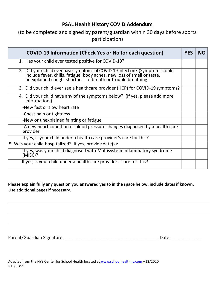#### **PSAL Health History COVID Addendum**

### (to be completed and signed by parent/guardian within 30 days before sports participation)

| <b>COVID-19 Information (Check Yes or No for each question)</b>                                                                                                                                                        | <b>YES</b> | <b>NO</b> |
|------------------------------------------------------------------------------------------------------------------------------------------------------------------------------------------------------------------------|------------|-----------|
| 1. Has your child ever tested positive for COVID-19?                                                                                                                                                                   |            |           |
| 2. Did your child ever have symptoms of COVID-19 infection? (Symptoms could<br>include fever, chills, fatigue, body aches, new loss of smell or taste,<br>unexplained cough, shortness of breath or trouble breathing) |            |           |
| 3. Did your child ever see a healthcare provider (HCP) for COVID-19 symptoms?                                                                                                                                          |            |           |
| 4. Did your child have any of the symptoms below? (If yes, please add more<br>information.)                                                                                                                            |            |           |
| -New fast or slow heart rate                                                                                                                                                                                           |            |           |
| -Chest pain or tightness                                                                                                                                                                                               |            |           |
| -New or unexplained fainting or fatigue                                                                                                                                                                                |            |           |
| -A new heart condition or blood pressure changes diagnosed by a health care<br>provider                                                                                                                                |            |           |
| If yes, is your child under a health care provider's care for this?                                                                                                                                                    |            |           |
| 5 Was your child hospitalized? If yes, provide date(s):                                                                                                                                                                |            |           |
| If yes, was your child diagnosed with Multisystem Inflammatory syndrome<br>(MISC)?                                                                                                                                     |            |           |
| If yes, is your child under a health care provider's care for this?                                                                                                                                                    |            |           |

#### **Please explain fully any question you answered yes to in the space below, include dates if known.**

Use additional pages if necessary.

Parent/Guardian Signature: \_\_\_\_\_\_\_\_\_\_\_\_\_\_\_\_\_\_\_\_\_\_\_\_\_\_\_\_\_\_\_\_\_\_\_\_\_\_ Date: \_\_\_\_\_\_\_\_\_\_\_\_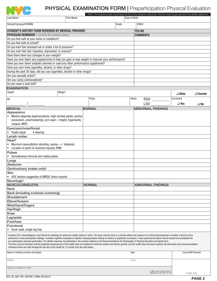

# PHYSICAL EXAMINATION FORM | Preparticipation Physical Evaluation

|                                                                                                                                                                                                                                                                                                                                                                                                                                                                                                                                                                                                                                                                                                                                                                                                                                                                                                                                                                            |                   |               |       |                          | NOTE: The medical provider should keep this form in the student's medical file. This form does not get returned to the athletic department. |                              |  |  |
|----------------------------------------------------------------------------------------------------------------------------------------------------------------------------------------------------------------------------------------------------------------------------------------------------------------------------------------------------------------------------------------------------------------------------------------------------------------------------------------------------------------------------------------------------------------------------------------------------------------------------------------------------------------------------------------------------------------------------------------------------------------------------------------------------------------------------------------------------------------------------------------------------------------------------------------------------------------------------|-------------------|---------------|-------|--------------------------|---------------------------------------------------------------------------------------------------------------------------------------------|------------------------------|--|--|
| <b>Last Name</b>                                                                                                                                                                                                                                                                                                                                                                                                                                                                                                                                                                                                                                                                                                                                                                                                                                                                                                                                                           | <b>First Name</b> | Date of Birth |       |                          |                                                                                                                                             |                              |  |  |
| School/Campus/ATSDBN                                                                                                                                                                                                                                                                                                                                                                                                                                                                                                                                                                                                                                                                                                                                                                                                                                                                                                                                                       |                   |               | Grade |                          | OSIS#                                                                                                                                       |                              |  |  |
| STUDENT'S HISTORY FORM REVIEWED BY MEDICAL PROVIDER                                                                                                                                                                                                                                                                                                                                                                                                                                                                                                                                                                                                                                                                                                                                                                                                                                                                                                                        |                   |               |       |                          | <b>YES NO</b>                                                                                                                               |                              |  |  |
| <b>PHYSICIAN REMINDER - Consider the questions below</b>                                                                                                                                                                                                                                                                                                                                                                                                                                                                                                                                                                                                                                                                                                                                                                                                                                                                                                                   |                   |               |       |                          | <b>COMMENTS</b>                                                                                                                             |                              |  |  |
| Do you feel safe at your home or residence?                                                                                                                                                                                                                                                                                                                                                                                                                                                                                                                                                                                                                                                                                                                                                                                                                                                                                                                                |                   |               |       |                          |                                                                                                                                             |                              |  |  |
| Do you feel safe at school?                                                                                                                                                                                                                                                                                                                                                                                                                                                                                                                                                                                                                                                                                                                                                                                                                                                                                                                                                |                   |               |       |                          |                                                                                                                                             |                              |  |  |
| Do you ever feel stressed out or under a lot of pressure?                                                                                                                                                                                                                                                                                                                                                                                                                                                                                                                                                                                                                                                                                                                                                                                                                                                                                                                  |                   |               |       |                          |                                                                                                                                             |                              |  |  |
| Do you ever feel sad, hopeless, depressed, or anxious?                                                                                                                                                                                                                                                                                                                                                                                                                                                                                                                                                                                                                                                                                                                                                                                                                                                                                                                     |                   |               |       |                          |                                                                                                                                             |                              |  |  |
| Have there been any changes in your weight?                                                                                                                                                                                                                                                                                                                                                                                                                                                                                                                                                                                                                                                                                                                                                                                                                                                                                                                                |                   |               |       |                          |                                                                                                                                             |                              |  |  |
|                                                                                                                                                                                                                                                                                                                                                                                                                                                                                                                                                                                                                                                                                                                                                                                                                                                                                                                                                                            |                   |               |       |                          |                                                                                                                                             |                              |  |  |
| Have you ever taken any supplements to help you gain or lose weight or improve your performance?<br>Have you ever taken anabolic steroids or used any other performance supplement?                                                                                                                                                                                                                                                                                                                                                                                                                                                                                                                                                                                                                                                                                                                                                                                        |                   |               |       |                          |                                                                                                                                             |                              |  |  |
| Have you ever tried cigarettes, alcohol, or other drugs?                                                                                                                                                                                                                                                                                                                                                                                                                                                                                                                                                                                                                                                                                                                                                                                                                                                                                                                   |                   |               |       |                          |                                                                                                                                             |                              |  |  |
| During the past 30 days, did you use cigarettes, alcohol or other drugs?                                                                                                                                                                                                                                                                                                                                                                                                                                                                                                                                                                                                                                                                                                                                                                                                                                                                                                   |                   |               |       |                          |                                                                                                                                             |                              |  |  |
| Are you sexually active?                                                                                                                                                                                                                                                                                                                                                                                                                                                                                                                                                                                                                                                                                                                                                                                                                                                                                                                                                   |                   |               |       |                          |                                                                                                                                             |                              |  |  |
| Are you using contraceptives?                                                                                                                                                                                                                                                                                                                                                                                                                                                                                                                                                                                                                                                                                                                                                                                                                                                                                                                                              |                   |               |       |                          |                                                                                                                                             |                              |  |  |
| Do you wear a seat belt?                                                                                                                                                                                                                                                                                                                                                                                                                                                                                                                                                                                                                                                                                                                                                                                                                                                                                                                                                   |                   |               |       |                          |                                                                                                                                             |                              |  |  |
| <b>EXAMINATION</b>                                                                                                                                                                                                                                                                                                                                                                                                                                                                                                                                                                                                                                                                                                                                                                                                                                                                                                                                                         |                   |               |       |                          |                                                                                                                                             |                              |  |  |
| Weight<br>Height                                                                                                                                                                                                                                                                                                                                                                                                                                                                                                                                                                                                                                                                                                                                                                                                                                                                                                                                                           |                   |               |       |                          |                                                                                                                                             |                              |  |  |
|                                                                                                                                                                                                                                                                                                                                                                                                                                                                                                                                                                                                                                                                                                                                                                                                                                                                                                                                                                            |                   |               |       |                          |                                                                                                                                             | $\Box$ Male<br>$\Box$ Female |  |  |
| <b>BP</b>                                                                                                                                                                                                                                                                                                                                                                                                                                                                                                                                                                                                                                                                                                                                                                                                                                                                                                                                                                  |                   | Pulse         |       | Vision                   | R20/                                                                                                                                        | Corrected                    |  |  |
|                                                                                                                                                                                                                                                                                                                                                                                                                                                                                                                                                                                                                                                                                                                                                                                                                                                                                                                                                                            |                   |               |       |                          | L20/                                                                                                                                        | $\Box$ Yes<br>$\Box$ No      |  |  |
| <b>MEDICAL</b>                                                                                                                                                                                                                                                                                                                                                                                                                                                                                                                                                                                                                                                                                                                                                                                                                                                                                                                                                             |                   | <b>NORMAL</b> |       |                          | <b>ABNORMAL FINDINGS</b>                                                                                                                    |                              |  |  |
| Appearance                                                                                                                                                                                                                                                                                                                                                                                                                                                                                                                                                                                                                                                                                                                                                                                                                                                                                                                                                                 |                   |               |       |                          |                                                                                                                                             |                              |  |  |
| Marfan stigmata (kyphoscoliosis, high-arched palate, pectus<br>$\bullet$                                                                                                                                                                                                                                                                                                                                                                                                                                                                                                                                                                                                                                                                                                                                                                                                                                                                                                   |                   |               |       |                          |                                                                                                                                             |                              |  |  |
| excavatum, arachnodactyly, arm span > height, hyperlaxity,                                                                                                                                                                                                                                                                                                                                                                                                                                                                                                                                                                                                                                                                                                                                                                                                                                                                                                                 |                   |               |       |                          |                                                                                                                                             |                              |  |  |
| myopia, MVP)                                                                                                                                                                                                                                                                                                                                                                                                                                                                                                                                                                                                                                                                                                                                                                                                                                                                                                                                                               |                   |               |       |                          |                                                                                                                                             |                              |  |  |
| Eyes/ears/nose/throat                                                                                                                                                                                                                                                                                                                                                                                                                                                                                                                                                                                                                                                                                                                                                                                                                                                                                                                                                      |                   |               |       |                          |                                                                                                                                             |                              |  |  |
| • Pupils equal<br>• Hearing                                                                                                                                                                                                                                                                                                                                                                                                                                                                                                                                                                                                                                                                                                                                                                                                                                                                                                                                                |                   |               |       |                          |                                                                                                                                             |                              |  |  |
| Lymph nodes                                                                                                                                                                                                                                                                                                                                                                                                                                                                                                                                                                                                                                                                                                                                                                                                                                                                                                                                                                |                   |               |       |                          |                                                                                                                                             |                              |  |  |
| Heart <sup>a</sup>                                                                                                                                                                                                                                                                                                                                                                                                                                                                                                                                                                                                                                                                                                                                                                                                                                                                                                                                                         |                   |               |       |                          |                                                                                                                                             |                              |  |  |
| Murmurs (auscultation standing, supine, +/- Valsalva)                                                                                                                                                                                                                                                                                                                                                                                                                                                                                                                                                                                                                                                                                                                                                                                                                                                                                                                      |                   |               |       |                          |                                                                                                                                             |                              |  |  |
| Location of point of maximal impulse (PMI)<br>$\bullet$                                                                                                                                                                                                                                                                                                                                                                                                                                                                                                                                                                                                                                                                                                                                                                                                                                                                                                                    |                   |               |       |                          |                                                                                                                                             |                              |  |  |
| Pulses                                                                                                                                                                                                                                                                                                                                                                                                                                                                                                                                                                                                                                                                                                                                                                                                                                                                                                                                                                     |                   |               |       |                          |                                                                                                                                             |                              |  |  |
| Simultaneous femoral and radial pulses<br>$\bullet$                                                                                                                                                                                                                                                                                                                                                                                                                                                                                                                                                                                                                                                                                                                                                                                                                                                                                                                        |                   |               |       |                          |                                                                                                                                             |                              |  |  |
| Lungs                                                                                                                                                                                                                                                                                                                                                                                                                                                                                                                                                                                                                                                                                                                                                                                                                                                                                                                                                                      |                   |               |       |                          |                                                                                                                                             |                              |  |  |
| Abdomen                                                                                                                                                                                                                                                                                                                                                                                                                                                                                                                                                                                                                                                                                                                                                                                                                                                                                                                                                                    |                   |               |       |                          |                                                                                                                                             |                              |  |  |
| Genitourinary (males only) <sup>b</sup>                                                                                                                                                                                                                                                                                                                                                                                                                                                                                                                                                                                                                                                                                                                                                                                                                                                                                                                                    |                   |               |       |                          |                                                                                                                                             |                              |  |  |
| <b>Skin</b>                                                                                                                                                                                                                                                                                                                                                                                                                                                                                                                                                                                                                                                                                                                                                                                                                                                                                                                                                                |                   |               |       |                          |                                                                                                                                             |                              |  |  |
| • HSV, lesions suggestive of MRSA, tinea corporis                                                                                                                                                                                                                                                                                                                                                                                                                                                                                                                                                                                                                                                                                                                                                                                                                                                                                                                          |                   |               |       |                          |                                                                                                                                             |                              |  |  |
| Neurologic <sup>c</sup>                                                                                                                                                                                                                                                                                                                                                                                                                                                                                                                                                                                                                                                                                                                                                                                                                                                                                                                                                    |                   |               |       |                          |                                                                                                                                             |                              |  |  |
| <b>MUSCULOSKELETAL</b>                                                                                                                                                                                                                                                                                                                                                                                                                                                                                                                                                                                                                                                                                                                                                                                                                                                                                                                                                     | <b>NORMAL</b>     |               |       | <b>ABNORMAL FINDINGS</b> |                                                                                                                                             |                              |  |  |
| <b>Neck</b>                                                                                                                                                                                                                                                                                                                                                                                                                                                                                                                                                                                                                                                                                                                                                                                                                                                                                                                                                                |                   |               |       |                          |                                                                                                                                             |                              |  |  |
| Back (including scoliosis screening)                                                                                                                                                                                                                                                                                                                                                                                                                                                                                                                                                                                                                                                                                                                                                                                                                                                                                                                                       |                   |               |       |                          |                                                                                                                                             |                              |  |  |
| Shoulder/arm                                                                                                                                                                                                                                                                                                                                                                                                                                                                                                                                                                                                                                                                                                                                                                                                                                                                                                                                                               |                   |               |       |                          |                                                                                                                                             |                              |  |  |
| Elbow/forearm                                                                                                                                                                                                                                                                                                                                                                                                                                                                                                                                                                                                                                                                                                                                                                                                                                                                                                                                                              |                   |               |       |                          |                                                                                                                                             |                              |  |  |
| Wrist/hand/fingers                                                                                                                                                                                                                                                                                                                                                                                                                                                                                                                                                                                                                                                                                                                                                                                                                                                                                                                                                         |                   |               |       |                          |                                                                                                                                             |                              |  |  |
| Hip/thigh                                                                                                                                                                                                                                                                                                                                                                                                                                                                                                                                                                                                                                                                                                                                                                                                                                                                                                                                                                  |                   |               |       |                          |                                                                                                                                             |                              |  |  |
| Knee                                                                                                                                                                                                                                                                                                                                                                                                                                                                                                                                                                                                                                                                                                                                                                                                                                                                                                                                                                       |                   |               |       |                          |                                                                                                                                             |                              |  |  |
| Leg/ankle                                                                                                                                                                                                                                                                                                                                                                                                                                                                                                                                                                                                                                                                                                                                                                                                                                                                                                                                                                  |                   |               |       |                          |                                                                                                                                             |                              |  |  |
| Foot/toes                                                                                                                                                                                                                                                                                                                                                                                                                                                                                                                                                                                                                                                                                                                                                                                                                                                                                                                                                                  |                   |               |       |                          |                                                                                                                                             |                              |  |  |
| Functional                                                                                                                                                                                                                                                                                                                                                                                                                                                                                                                                                                                                                                                                                                                                                                                                                                                                                                                                                                 |                   |               |       |                          |                                                                                                                                             |                              |  |  |
| Duck-walk, single leg hop<br>$\bullet$                                                                                                                                                                                                                                                                                                                                                                                                                                                                                                                                                                                                                                                                                                                                                                                                                                                                                                                                     |                   |               |       |                          |                                                                                                                                             |                              |  |  |
| Consider ECG, echocardiogram, and referral to cardiology for abnormal cardiac history or exam. <sup>b</sup> GU exam must be done in a private setting; the presence of a third party/chaperone is needed. It should not be<br>performed in mass participation settings. <sup>c</sup> consider cognitive evaluation or baseline neuropsychiatric testing if a history of significant concussion. I have examined the above named student and completed the<br>pre-participation physical examination. The athlete may/may not participate in the sport(s) outlined on the Recommendations for Participation in Physical Education and Sports form.<br>This form may be rescinded until the potential consequences of the health issue are explained to both the student and his/her parents, and the health issue has been resolved. All information and recommendations<br>contained herein are valid through the last day of the month for 12 months from the date below. |                   |               |       |                          |                                                                                                                                             |                              |  |  |
| Name of medical provider (print/type)                                                                                                                                                                                                                                                                                                                                                                                                                                                                                                                                                                                                                                                                                                                                                                                                                                                                                                                                      | Date              |               |       |                          | License/NPI Number                                                                                                                          |                              |  |  |
| Address                                                                                                                                                                                                                                                                                                                                                                                                                                                                                                                                                                                                                                                                                                                                                                                                                                                                                                                                                                    |                   |               |       | Phone                    |                                                                                                                                             |                              |  |  |
| Signature of Medical Provider                                                                                                                                                                                                                                                                                                                                                                                                                                                                                                                                                                                                                                                                                                                                                                                                                                                                                                                                              |                   |               |       |                          | ,MD/DO/NP/PA                                                                                                                                | STAMP HERE                   |  |  |